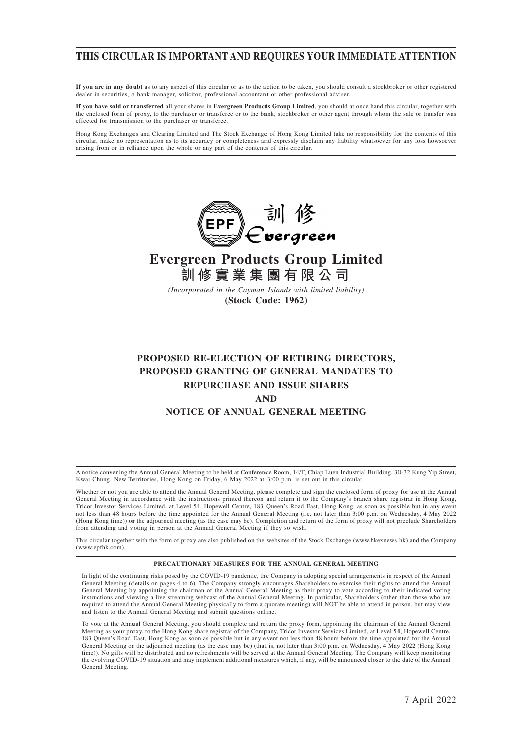## **THIS CIRCULAR IS IMPORTANT AND REQUIRES YOUR IMMEDIATE ATTENTION**

**If you are in any doubt** as to any aspect of this circular or as to the action to be taken, you should consult a stockbroker or other registered dealer in securities, a bank manager, solicitor, professional accountant or other professional adviser.

**If you have sold or transferred** all your shares in **Evergreen Products Group Limited**, you should at once hand this circular, together with the enclosed form of proxy, to the purchaser or transferee or to the bank, stockbroker or other agent through whom the sale or transfer was effected for transmission to the purchaser or transferee.

Hong Kong Exchanges and Clearing Limited and The Stock Exchange of Hong Kong Limited take no responsibility for the contents of this circular, make no representation as to its accuracy or completeness and expressly disclaim any liability whatsoever for any loss howsoever arising from or in reliance upon the whole or any part of the contents of this circular.



# **Evergreen Products Group Limited 訓修實業集團有限公司**

*(Incorporated in the Cayman Islands with limited liability)* **(Stock Code: 1962)**

## **PROPOSED RE-ELECTION OF RETIRING DIRECTORS, PROPOSED GRANTING OF GENERAL MANDATES TO REPURCHASE AND ISSUE SHARES AND NOTICE OF ANNUAL GENERAL MEETING**

A notice convening the Annual General Meeting to be held at Conference Room, 14/F, Chiap Luen Industrial Building, 30-32 Kung Yip Street, Kwai Chung, New Territories, Hong Kong on Friday, 6 May 2022 at 3:00 p.m. is set out in this circular.

Whether or not you are able to attend the Annual General Meeting, please complete and sign the enclosed form of proxy for use at the Annual General Meeting in accordance with the instructions printed thereon and return it to the Company's branch share registrar in Hong Kong, Tricor Investor Services Limited, at Level 54, Hopewell Centre, 183 Queen's Road East, Hong Kong, as soon as possible but in any event not less than 48 hours before the time appointed for the Annual General Meeting (i.e. not later than 3:00 p.m. on Wednesday, 4 May 2022 (Hong Kong time)) or the adjourned meeting (as the case may be). Completion and return of the form of proxy will not preclude Shareholders from attending and voting in person at the Annual General Meeting if they so wish.

This circular together with the form of proxy are also published on the websites of the Stock Exchange (www.hkexnews.hk) and the Company (www.epfhk.com).

#### **PRECAUTIONARY MEASURES FOR THE ANNUAL GENERAL MEETING**

In light of the continuing risks posed by the COVID-19 pandemic, the Company is adopting special arrangements in respect of the Annual General Meeting (details on pages 4 to 6). The Company strongly encourages Shareholders to exercise their rights to attend the Annual General Meeting by appointing the chairman of the Annual General Meeting as their proxy to vote according to their indicated voting instructions and viewing a live streaming webcast of the Annual General Meeting. In particular, Shareholders (other than those who are required to attend the Annual General Meeting physically to form a quorate meeting) will NOT be able to attend in person, but may view and listen to the Annual General Meeting and submit questions online.

To vote at the Annual General Meeting, you should complete and return the proxy form, appointing the chairman of the Annual General Meeting as your proxy, to the Hong Kong share registrar of the Company, Tricor Investor Services Limited, at Level 54, Hopewell Centre, 183 Queen's Road East, Hong Kong as soon as possible but in any event not less than 48 hours before the time appointed for the Annual General Meeting or the adjourned meeting (as the case may be) (that is, not later than 3:00 p.m. on Wednesday, 4 May 2022 (Hong Kong time)). No gifts will be distributed and no refreshments will be served at the Annual General Meeting. The Company will keep monitoring the evolving COVID-19 situation and may implement additional measures which, if any, will be announced closer to the date of the Annual General Meeting.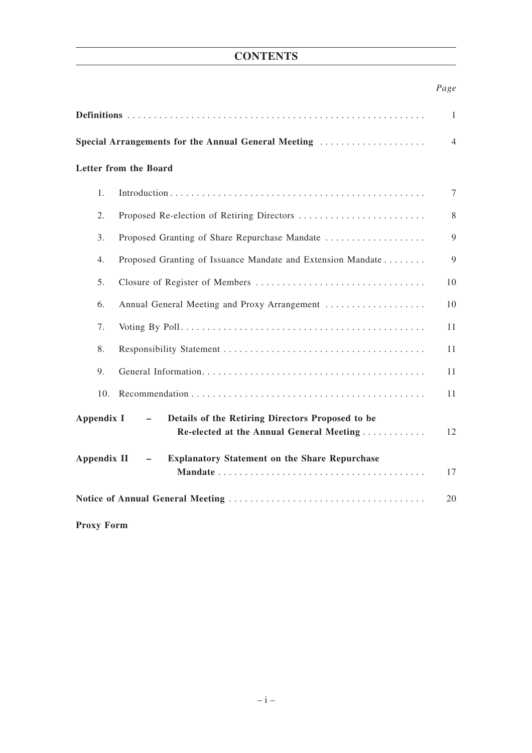## **CONTENTS**

## *Page*

|                                                                                                                        | $\mathbf{1}$ |
|------------------------------------------------------------------------------------------------------------------------|--------------|
| Special Arrangements for the Annual General Meeting                                                                    | 4            |
| Letter from the Board                                                                                                  |              |
| 1.                                                                                                                     | 7            |
| 2.                                                                                                                     | 8            |
| 3.<br>Proposed Granting of Share Repurchase Mandate                                                                    | 9            |
| Proposed Granting of Issuance Mandate and Extension Mandate<br>4.                                                      | 9            |
| 5.<br>Closure of Register of Members                                                                                   | 10           |
| Annual General Meeting and Proxy Arrangement<br>6.                                                                     | 10           |
| 7.                                                                                                                     | 11           |
| 8.                                                                                                                     | 11           |
| 9.                                                                                                                     | 11           |
| 10.                                                                                                                    | 11           |
| Appendix I<br>Details of the Retiring Directors Proposed to be<br>$\sim$ .<br>Re-elected at the Annual General Meeting | 12           |
| <b>Appendix II</b><br><b>Explanatory Statement on the Share Repurchase</b><br>$-$                                      | 17           |
|                                                                                                                        | 20           |

**Proxy Form**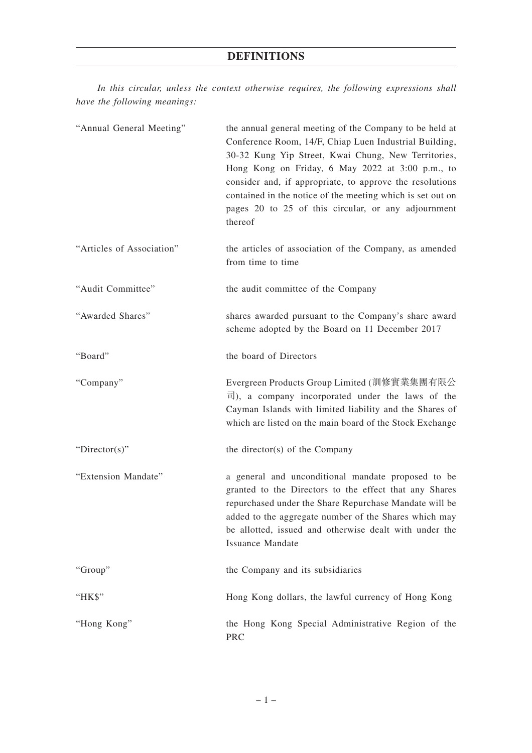## **DEFINITIONS**

*In this circular, unless the context otherwise requires, the following expressions shall have the following meanings:*

| "Annual General Meeting"  | the annual general meeting of the Company to be held at<br>Conference Room, 14/F, Chiap Luen Industrial Building,<br>30-32 Kung Yip Street, Kwai Chung, New Territories,<br>Hong Kong on Friday, 6 May 2022 at 3:00 p.m., to<br>consider and, if appropriate, to approve the resolutions<br>contained in the notice of the meeting which is set out on<br>pages 20 to 25 of this circular, or any adjournment<br>thereof |
|---------------------------|--------------------------------------------------------------------------------------------------------------------------------------------------------------------------------------------------------------------------------------------------------------------------------------------------------------------------------------------------------------------------------------------------------------------------|
| "Articles of Association" | the articles of association of the Company, as amended<br>from time to time                                                                                                                                                                                                                                                                                                                                              |
| "Audit Committee"         | the audit committee of the Company                                                                                                                                                                                                                                                                                                                                                                                       |
| "Awarded Shares"          | shares awarded pursuant to the Company's share award<br>scheme adopted by the Board on 11 December 2017                                                                                                                                                                                                                                                                                                                  |
| "Board"                   | the board of Directors                                                                                                                                                                                                                                                                                                                                                                                                   |
| "Company"                 | Evergreen Products Group Limited (訓修實業集團有限公<br>$\overline{\mathbb{E}}$ ), a company incorporated under the laws of the<br>Cayman Islands with limited liability and the Shares of<br>which are listed on the main board of the Stock Exchange                                                                                                                                                                            |
| "Director(s)"             | the director(s) of the Company                                                                                                                                                                                                                                                                                                                                                                                           |
| "Extension Mandate"       | a general and unconditional mandate proposed to be<br>granted to the Directors to the effect that any Shares<br>repurchased under the Share Repurchase Mandate will be<br>added to the aggregate number of the Shares which may<br>be allotted, issued and otherwise dealt with under the<br><b>Issuance Mandate</b>                                                                                                     |
| "Group"                   | the Company and its subsidiaries                                                                                                                                                                                                                                                                                                                                                                                         |
| "HK\$"                    | Hong Kong dollars, the lawful currency of Hong Kong                                                                                                                                                                                                                                                                                                                                                                      |
| "Hong Kong"               | the Hong Kong Special Administrative Region of the<br><b>PRC</b>                                                                                                                                                                                                                                                                                                                                                         |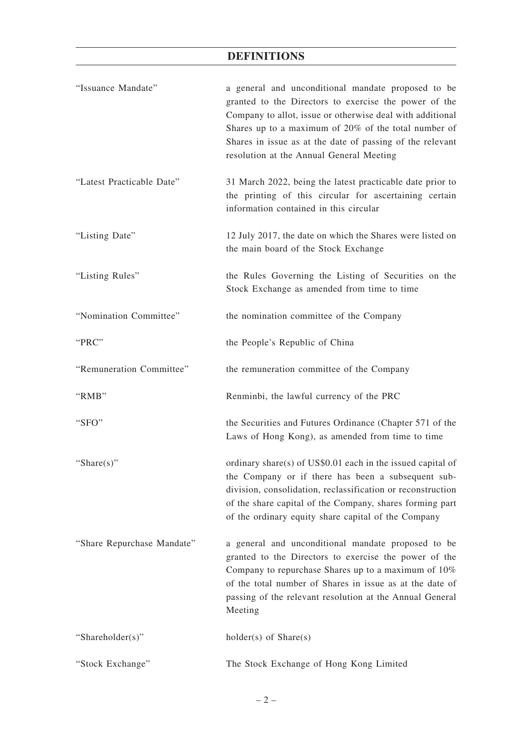# **DEFINITIONS**

| "Issuance Mandate"         | a general and unconditional mandate proposed to be<br>granted to the Directors to exercise the power of the<br>Company to allot, issue or otherwise deal with additional<br>Shares up to a maximum of 20% of the total number of<br>Shares in issue as at the date of passing of the relevant<br>resolution at the Annual General Meeting |
|----------------------------|-------------------------------------------------------------------------------------------------------------------------------------------------------------------------------------------------------------------------------------------------------------------------------------------------------------------------------------------|
| "Latest Practicable Date"  | 31 March 2022, being the latest practicable date prior to<br>the printing of this circular for ascertaining certain<br>information contained in this circular                                                                                                                                                                             |
| "Listing Date"             | 12 July 2017, the date on which the Shares were listed on<br>the main board of the Stock Exchange                                                                                                                                                                                                                                         |
| "Listing Rules"            | the Rules Governing the Listing of Securities on the<br>Stock Exchange as amended from time to time                                                                                                                                                                                                                                       |
| "Nomination Committee"     | the nomination committee of the Company                                                                                                                                                                                                                                                                                                   |
| "PRC"                      | the People's Republic of China                                                                                                                                                                                                                                                                                                            |
| "Remuneration Committee"   | the remuneration committee of the Company                                                                                                                                                                                                                                                                                                 |
| "RMB"                      | Renminbi, the lawful currency of the PRC                                                                                                                                                                                                                                                                                                  |
| "SFO"                      | the Securities and Futures Ordinance (Chapter 571 of the<br>Laws of Hong Kong), as amended from time to time                                                                                                                                                                                                                              |
| "Share $(s)$ "             | ordinary share(s) of $US$0.01$ each in the issued capital of<br>the Company or if there has been a subsequent sub-<br>division, consolidation, reclassification or reconstruction<br>of the share capital of the Company, shares forming part<br>of the ordinary equity share capital of the Company                                      |
| "Share Repurchase Mandate" | a general and unconditional mandate proposed to be<br>granted to the Directors to exercise the power of the<br>Company to repurchase Shares up to a maximum of 10%<br>of the total number of Shares in issue as at the date of<br>passing of the relevant resolution at the Annual General<br>Meeting                                     |
| "Shareholder(s)"           | $holder(s)$ of $Share(s)$                                                                                                                                                                                                                                                                                                                 |
| "Stock Exchange"           | The Stock Exchange of Hong Kong Limited                                                                                                                                                                                                                                                                                                   |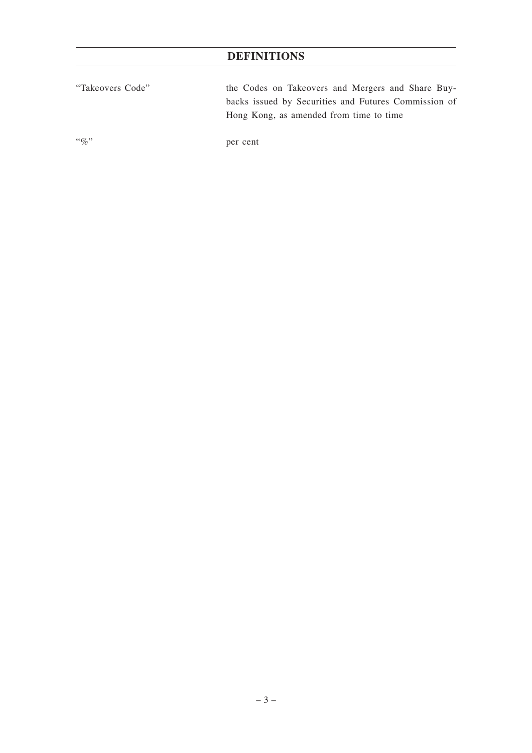# **DEFINITIONS**

| "Takeovers Code" | the Codes on Takeovers and Mergers and Share Buy-    |
|------------------|------------------------------------------------------|
|                  | backs issued by Securities and Futures Commission of |
|                  | Hong Kong, as amended from time to time              |
|                  |                                                      |

"%" per cent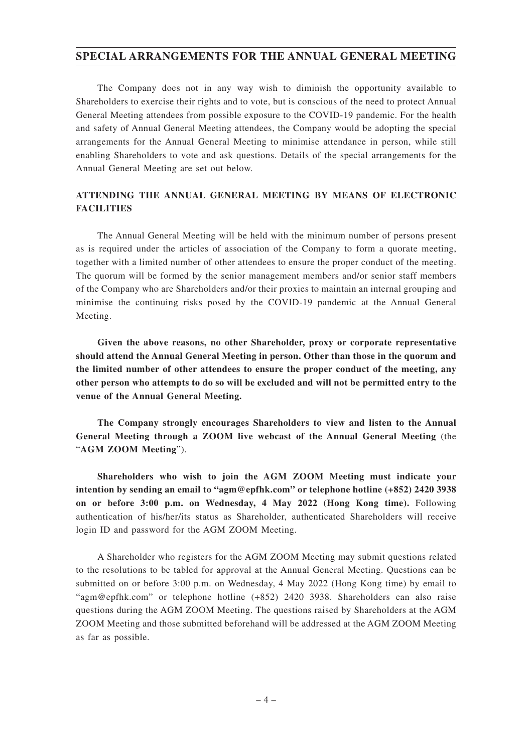## **SPECIAL ARRANGEMENTS FOR THE ANNUAL GENERAL MEETING**

The Company does not in any way wish to diminish the opportunity available to Shareholders to exercise their rights and to vote, but is conscious of the need to protect Annual General Meeting attendees from possible exposure to the COVID-19 pandemic. For the health and safety of Annual General Meeting attendees, the Company would be adopting the special arrangements for the Annual General Meeting to minimise attendance in person, while still enabling Shareholders to vote and ask questions. Details of the special arrangements for the Annual General Meeting are set out below.

## **ATTENDING THE ANNUAL GENERAL MEETING BY MEANS OF ELECTRONIC FACILITIES**

The Annual General Meeting will be held with the minimum number of persons present as is required under the articles of association of the Company to form a quorate meeting, together with a limited number of other attendees to ensure the proper conduct of the meeting. The quorum will be formed by the senior management members and/or senior staff members of the Company who are Shareholders and/or their proxies to maintain an internal grouping and minimise the continuing risks posed by the COVID-19 pandemic at the Annual General Meeting.

**Given the above reasons, no other Shareholder, proxy or corporate representative should attend the Annual General Meeting in person. Other than those in the quorum and the limited number of other attendees to ensure the proper conduct of the meeting, any other person who attempts to do so will be excluded and will not be permitted entry to the venue of the Annual General Meeting.**

**The Company strongly encourages Shareholders to view and listen to the Annual General Meeting through a ZOOM live webcast of the Annual General Meeting** (the "**AGM ZOOM Meeting**").

**Shareholders who wish to join the AGM ZOOM Meeting must indicate your intention by sending an email to "agm@epfhk.com" or telephone hotline (+852) 2420 3938 on or before 3:00 p.m. on Wednesday, 4 May 2022 (Hong Kong time).** Following authentication of his/her/its status as Shareholder, authenticated Shareholders will receive login ID and password for the AGM ZOOM Meeting.

A Shareholder who registers for the AGM ZOOM Meeting may submit questions related to the resolutions to be tabled for approval at the Annual General Meeting. Questions can be submitted on or before 3:00 p.m. on Wednesday, 4 May 2022 (Hong Kong time) by email to "agm@epfhk.com" or telephone hotline (+852) 2420 3938. Shareholders can also raise questions during the AGM ZOOM Meeting. The questions raised by Shareholders at the AGM ZOOM Meeting and those submitted beforehand will be addressed at the AGM ZOOM Meeting as far as possible.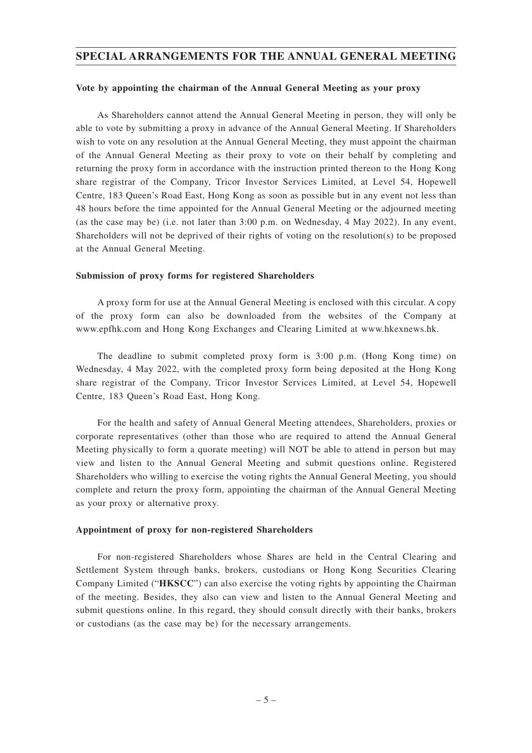## **SPECIAL ARRANGEMENTS FOR THE ANNUAL GENERAL MEETING**

#### **Vote by appointing the chairman of the Annual General Meeting as your proxy**

As Shareholders cannot attend the Annual General Meeting in person, they will only be able to vote by submitting a proxy in advance of the Annual General Meeting. If Shareholders wish to vote on any resolution at the Annual General Meeting, they must appoint the chairman of the Annual General Meeting as their proxy to vote on their behalf by completing and returning the proxy form in accordance with the instruction printed thereon to the Hong Kong share registrar of the Company, Tricor Investor Services Limited, at Level 54, Hopewell Centre, 183 Queen's Road East, Hong Kong as soon as possible but in any event not less than 48 hours before the time appointed for the Annual General Meeting or the adjourned meeting (as the case may be) (i.e. not later than 3:00 p.m. on Wednesday, 4 May 2022). In any event, Shareholders will not be deprived of their rights of voting on the resolution(s) to be proposed at the Annual General Meeting.

#### **Submission of proxy forms for registered Shareholders**

A proxy form for use at the Annual General Meeting is enclosed with this circular. A copy of the proxy form can also be downloaded from the websites of the Company at www.epfhk.com and Hong Kong Exchanges and Clearing Limited at www.hkexnews.hk.

The deadline to submit completed proxy form is 3:00 p.m. (Hong Kong time) on Wednesday, 4 May 2022, with the completed proxy form being deposited at the Hong Kong share registrar of the Company, Tricor Investor Services Limited, at Level 54, Hopewell Centre, 183 Queen's Road East, Hong Kong.

For the health and safety of Annual General Meeting attendees, Shareholders, proxies or corporate representatives (other than those who are required to attend the Annual General Meeting physically to form a quorate meeting) will NOT be able to attend in person but may view and listen to the Annual General Meeting and submit questions online. Registered Shareholders who willing to exercise the voting rights the Annual General Meeting, you should complete and return the proxy form, appointing the chairman of the Annual General Meeting as your proxy or alternative proxy.

#### **Appointment of proxy for non-registered Shareholders**

For non-registered Shareholders whose Shares are held in the Central Clearing and Settlement System through banks, brokers, custodians or Hong Kong Securities Clearing Company Limited ("**HKSCC**") can also exercise the voting rights by appointing the Chairman of the meeting. Besides, they also can view and listen to the Annual General Meeting and submit questions online. In this regard, they should consult directly with their banks, brokers or custodians (as the case may be) for the necessary arrangements.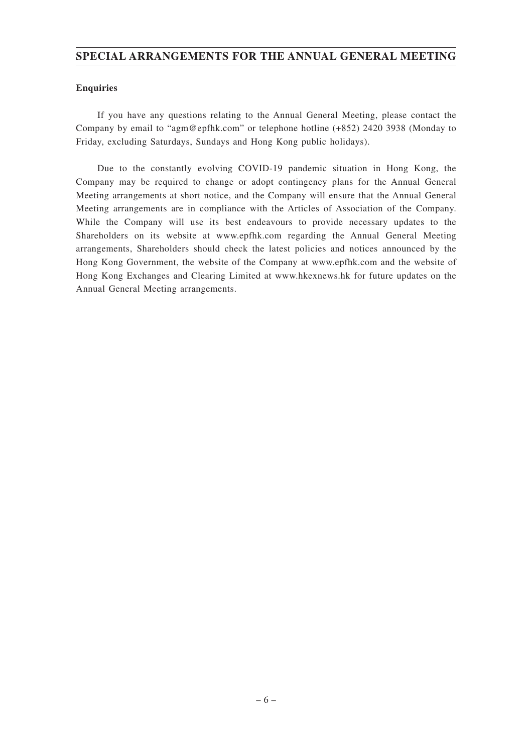## **SPECIAL ARRANGEMENTS FOR THE ANNUAL GENERAL MEETING**

## **Enquiries**

If you have any questions relating to the Annual General Meeting, please contact the Company by email to "agm@epfhk.com" or telephone hotline (+852) 2420 3938 (Monday to Friday, excluding Saturdays, Sundays and Hong Kong public holidays).

Due to the constantly evolving COVID-19 pandemic situation in Hong Kong, the Company may be required to change or adopt contingency plans for the Annual General Meeting arrangements at short notice, and the Company will ensure that the Annual General Meeting arrangements are in compliance with the Articles of Association of the Company. While the Company will use its best endeavours to provide necessary updates to the Shareholders on its website at www.epfhk.com regarding the Annual General Meeting arrangements, Shareholders should check the latest policies and notices announced by the Hong Kong Government, the website of the Company at www.epfhk.com and the website of Hong Kong Exchanges and Clearing Limited at www.hkexnews.hk for future updates on the Annual General Meeting arrangements.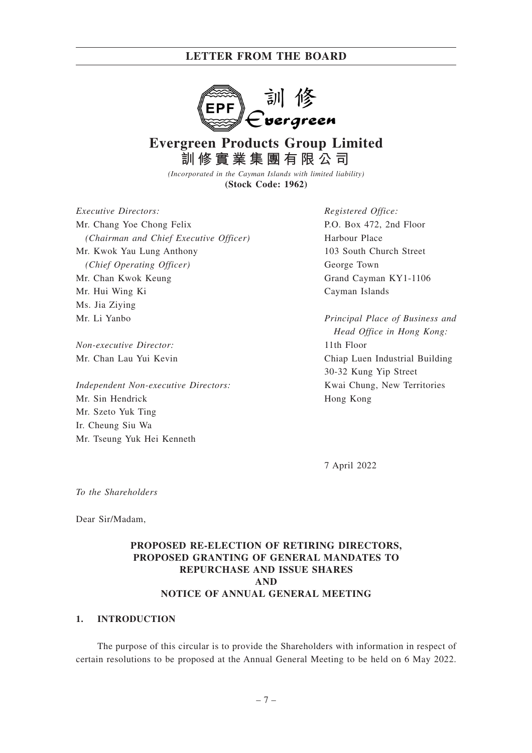

# **Evergreen Products Group Limited 訓修實業集團有限公司**

*(Incorporated in the Cayman Islands with limited liability)* **(Stock Code: 1962)**

*Executive Directors:* Mr. Chang Yoe Chong Felix *(Chairman and Chief Executive Officer)* Mr. Kwok Yau Lung Anthony *(Chief Operating Officer)* Mr. Chan Kwok Keung Mr. Hui Wing Ki Ms. Jia Ziying Mr. Li Yanbo

*Non-executive Director:* Mr. Chan Lau Yui Kevin

*Independent Non-executive Directors:* Mr. Sin Hendrick Mr. Szeto Yuk Ting Ir. Cheung Siu Wa Mr. Tseung Yuk Hei Kenneth

*Registered Office:* P.O. Box 472, 2nd Floor Harbour Place 103 South Church Street George Town Grand Cayman KY1-1106 Cayman Islands

*Principal Place of Business and Head Office in Hong Kong:* 11th Floor Chiap Luen Industrial Building 30-32 Kung Yip Street Kwai Chung, New Territories Hong Kong

7 April 2022

*To the Shareholders*

Dear Sir/Madam,

## **PROPOSED RE-ELECTION OF RETIRING DIRECTORS, PROPOSED GRANTING OF GENERAL MANDATES TO REPURCHASE AND ISSUE SHARES AND NOTICE OF ANNUAL GENERAL MEETING**

#### **1. INTRODUCTION**

The purpose of this circular is to provide the Shareholders with information in respect of certain resolutions to be proposed at the Annual General Meeting to be held on 6 May 2022.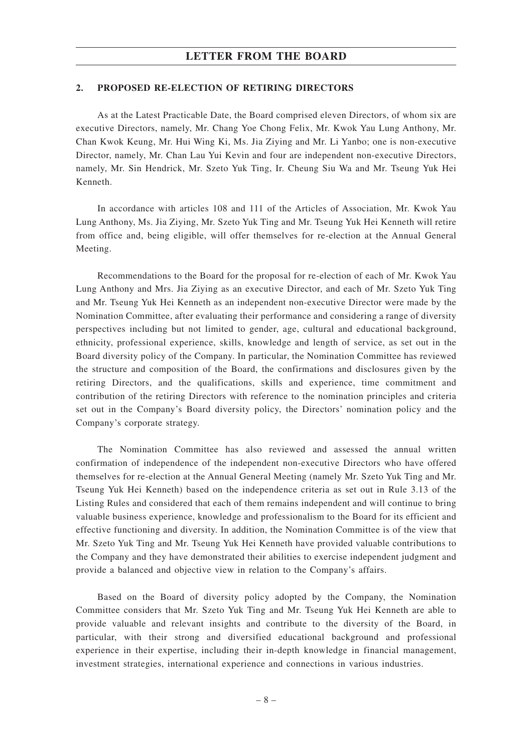#### **2. PROPOSED RE-ELECTION OF RETIRING DIRECTORS**

As at the Latest Practicable Date, the Board comprised eleven Directors, of whom six are executive Directors, namely, Mr. Chang Yoe Chong Felix, Mr. Kwok Yau Lung Anthony, Mr. Chan Kwok Keung, Mr. Hui Wing Ki, Ms. Jia Ziying and Mr. Li Yanbo; one is non-executive Director, namely, Mr. Chan Lau Yui Kevin and four are independent non-executive Directors, namely, Mr. Sin Hendrick, Mr. Szeto Yuk Ting, Ir. Cheung Siu Wa and Mr. Tseung Yuk Hei Kenneth.

In accordance with articles 108 and 111 of the Articles of Association, Mr. Kwok Yau Lung Anthony, Ms. Jia Ziying, Mr. Szeto Yuk Ting and Mr. Tseung Yuk Hei Kenneth will retire from office and, being eligible, will offer themselves for re-election at the Annual General Meeting.

Recommendations to the Board for the proposal for re-election of each of Mr. Kwok Yau Lung Anthony and Mrs. Jia Ziying as an executive Director, and each of Mr. Szeto Yuk Ting and Mr. Tseung Yuk Hei Kenneth as an independent non-executive Director were made by the Nomination Committee, after evaluating their performance and considering a range of diversity perspectives including but not limited to gender, age, cultural and educational background, ethnicity, professional experience, skills, knowledge and length of service, as set out in the Board diversity policy of the Company. In particular, the Nomination Committee has reviewed the structure and composition of the Board, the confirmations and disclosures given by the retiring Directors, and the qualifications, skills and experience, time commitment and contribution of the retiring Directors with reference to the nomination principles and criteria set out in the Company's Board diversity policy, the Directors' nomination policy and the Company's corporate strategy.

The Nomination Committee has also reviewed and assessed the annual written confirmation of independence of the independent non-executive Directors who have offered themselves for re-election at the Annual General Meeting (namely Mr. Szeto Yuk Ting and Mr. Tseung Yuk Hei Kenneth) based on the independence criteria as set out in Rule 3.13 of the Listing Rules and considered that each of them remains independent and will continue to bring valuable business experience, knowledge and professionalism to the Board for its efficient and effective functioning and diversity. In addition, the Nomination Committee is of the view that Mr. Szeto Yuk Ting and Mr. Tseung Yuk Hei Kenneth have provided valuable contributions to the Company and they have demonstrated their abilities to exercise independent judgment and provide a balanced and objective view in relation to the Company's affairs.

Based on the Board of diversity policy adopted by the Company, the Nomination Committee considers that Mr. Szeto Yuk Ting and Mr. Tseung Yuk Hei Kenneth are able to provide valuable and relevant insights and contribute to the diversity of the Board, in particular, with their strong and diversified educational background and professional experience in their expertise, including their in-depth knowledge in financial management, investment strategies, international experience and connections in various industries.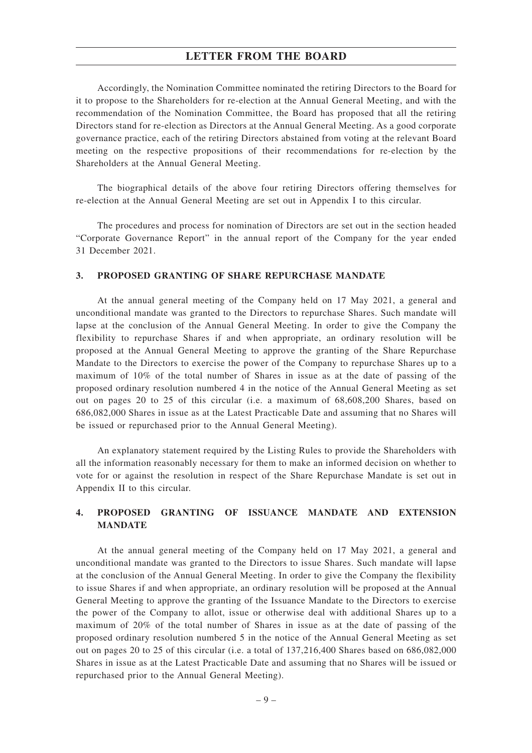Accordingly, the Nomination Committee nominated the retiring Directors to the Board for it to propose to the Shareholders for re-election at the Annual General Meeting, and with the recommendation of the Nomination Committee, the Board has proposed that all the retiring Directors stand for re-election as Directors at the Annual General Meeting. As a good corporate governance practice, each of the retiring Directors abstained from voting at the relevant Board meeting on the respective propositions of their recommendations for re-election by the Shareholders at the Annual General Meeting.

The biographical details of the above four retiring Directors offering themselves for re-election at the Annual General Meeting are set out in Appendix I to this circular.

The procedures and process for nomination of Directors are set out in the section headed "Corporate Governance Report" in the annual report of the Company for the year ended 31 December 2021.

#### **3. PROPOSED GRANTING OF SHARE REPURCHASE MANDATE**

At the annual general meeting of the Company held on 17 May 2021, a general and unconditional mandate was granted to the Directors to repurchase Shares. Such mandate will lapse at the conclusion of the Annual General Meeting. In order to give the Company the flexibility to repurchase Shares if and when appropriate, an ordinary resolution will be proposed at the Annual General Meeting to approve the granting of the Share Repurchase Mandate to the Directors to exercise the power of the Company to repurchase Shares up to a maximum of 10% of the total number of Shares in issue as at the date of passing of the proposed ordinary resolution numbered 4 in the notice of the Annual General Meeting as set out on pages 20 to 25 of this circular (i.e. a maximum of 68,608,200 Shares, based on 686,082,000 Shares in issue as at the Latest Practicable Date and assuming that no Shares will be issued or repurchased prior to the Annual General Meeting).

An explanatory statement required by the Listing Rules to provide the Shareholders with all the information reasonably necessary for them to make an informed decision on whether to vote for or against the resolution in respect of the Share Repurchase Mandate is set out in Appendix II to this circular.

## **4. PROPOSED GRANTING OF ISSUANCE MANDATE AND EXTENSION MANDATE**

At the annual general meeting of the Company held on 17 May 2021, a general and unconditional mandate was granted to the Directors to issue Shares. Such mandate will lapse at the conclusion of the Annual General Meeting. In order to give the Company the flexibility to issue Shares if and when appropriate, an ordinary resolution will be proposed at the Annual General Meeting to approve the granting of the Issuance Mandate to the Directors to exercise the power of the Company to allot, issue or otherwise deal with additional Shares up to a maximum of 20% of the total number of Shares in issue as at the date of passing of the proposed ordinary resolution numbered 5 in the notice of the Annual General Meeting as set out on pages 20 to 25 of this circular (i.e. a total of 137,216,400 Shares based on 686,082,000 Shares in issue as at the Latest Practicable Date and assuming that no Shares will be issued or repurchased prior to the Annual General Meeting).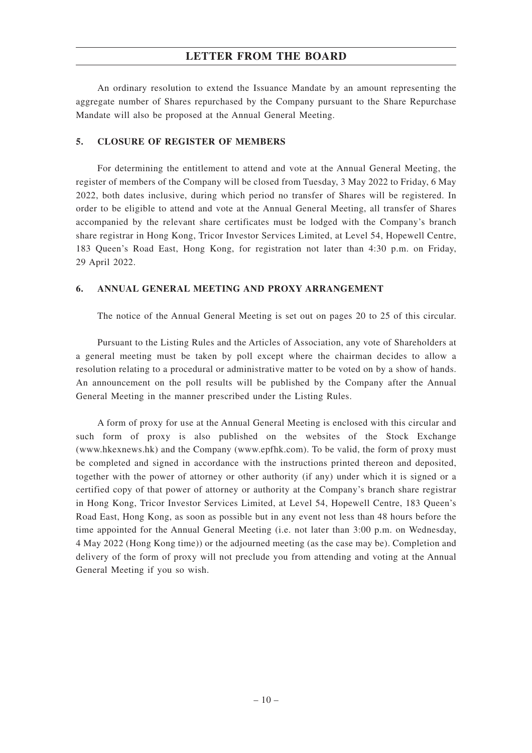An ordinary resolution to extend the Issuance Mandate by an amount representing the aggregate number of Shares repurchased by the Company pursuant to the Share Repurchase Mandate will also be proposed at the Annual General Meeting.

#### **5. CLOSURE OF REGISTER OF MEMBERS**

For determining the entitlement to attend and vote at the Annual General Meeting, the register of members of the Company will be closed from Tuesday, 3 May 2022 to Friday, 6 May 2022, both dates inclusive, during which period no transfer of Shares will be registered. In order to be eligible to attend and vote at the Annual General Meeting, all transfer of Shares accompanied by the relevant share certificates must be lodged with the Company's branch share registrar in Hong Kong, Tricor Investor Services Limited, at Level 54, Hopewell Centre, 183 Queen's Road East, Hong Kong, for registration not later than 4:30 p.m. on Friday, 29 April 2022.

#### **6. ANNUAL GENERAL MEETING AND PROXY ARRANGEMENT**

The notice of the Annual General Meeting is set out on pages 20 to 25 of this circular.

Pursuant to the Listing Rules and the Articles of Association, any vote of Shareholders at a general meeting must be taken by poll except where the chairman decides to allow a resolution relating to a procedural or administrative matter to be voted on by a show of hands. An announcement on the poll results will be published by the Company after the Annual General Meeting in the manner prescribed under the Listing Rules.

A form of proxy for use at the Annual General Meeting is enclosed with this circular and such form of proxy is also published on the websites of the Stock Exchange (www.hkexnews.hk) and the Company (www.epfhk.com). To be valid, the form of proxy must be completed and signed in accordance with the instructions printed thereon and deposited, together with the power of attorney or other authority (if any) under which it is signed or a certified copy of that power of attorney or authority at the Company's branch share registrar in Hong Kong, Tricor Investor Services Limited, at Level 54, Hopewell Centre, 183 Queen's Road East, Hong Kong, as soon as possible but in any event not less than 48 hours before the time appointed for the Annual General Meeting (i.e. not later than 3:00 p.m. on Wednesday, 4 May 2022 (Hong Kong time)) or the adjourned meeting (as the case may be). Completion and delivery of the form of proxy will not preclude you from attending and voting at the Annual General Meeting if you so wish.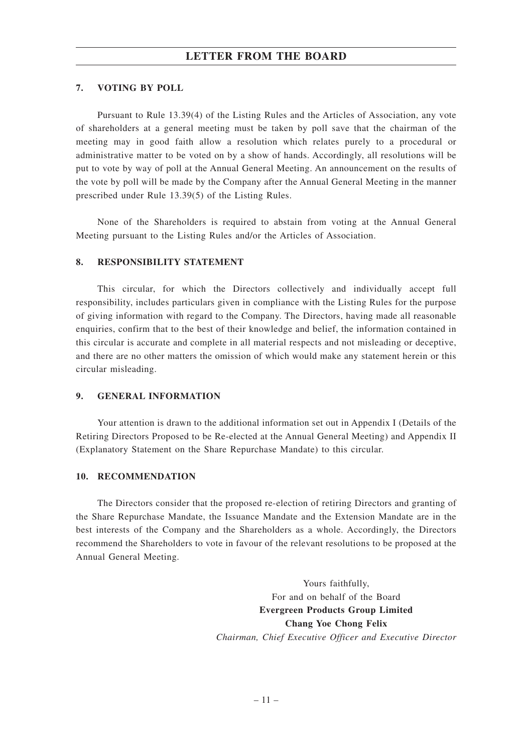## **7. VOTING BY POLL**

Pursuant to Rule 13.39(4) of the Listing Rules and the Articles of Association, any vote of shareholders at a general meeting must be taken by poll save that the chairman of the meeting may in good faith allow a resolution which relates purely to a procedural or administrative matter to be voted on by a show of hands. Accordingly, all resolutions will be put to vote by way of poll at the Annual General Meeting. An announcement on the results of the vote by poll will be made by the Company after the Annual General Meeting in the manner prescribed under Rule 13.39(5) of the Listing Rules.

None of the Shareholders is required to abstain from voting at the Annual General Meeting pursuant to the Listing Rules and/or the Articles of Association.

#### **8. RESPONSIBILITY STATEMENT**

This circular, for which the Directors collectively and individually accept full responsibility, includes particulars given in compliance with the Listing Rules for the purpose of giving information with regard to the Company. The Directors, having made all reasonable enquiries, confirm that to the best of their knowledge and belief, the information contained in this circular is accurate and complete in all material respects and not misleading or deceptive, and there are no other matters the omission of which would make any statement herein or this circular misleading.

#### **9. GENERAL INFORMATION**

Your attention is drawn to the additional information set out in Appendix I (Details of the Retiring Directors Proposed to be Re-elected at the Annual General Meeting) and Appendix II (Explanatory Statement on the Share Repurchase Mandate) to this circular.

#### **10. RECOMMENDATION**

The Directors consider that the proposed re-election of retiring Directors and granting of the Share Repurchase Mandate, the Issuance Mandate and the Extension Mandate are in the best interests of the Company and the Shareholders as a whole. Accordingly, the Directors recommend the Shareholders to vote in favour of the relevant resolutions to be proposed at the Annual General Meeting.

> Yours faithfully, For and on behalf of the Board **Evergreen Products Group Limited Chang Yoe Chong Felix** *Chairman, Chief Executive Officer and Executive Director*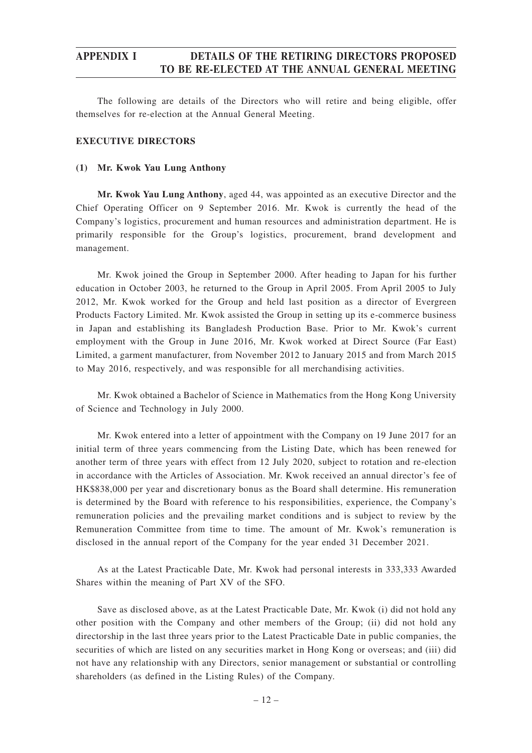The following are details of the Directors who will retire and being eligible, offer themselves for re-election at the Annual General Meeting.

## **EXECUTIVE DIRECTORS**

#### **(1) Mr. Kwok Yau Lung Anthony**

**Mr. Kwok Yau Lung Anthony**, aged 44, was appointed as an executive Director and the Chief Operating Officer on 9 September 2016. Mr. Kwok is currently the head of the Company's logistics, procurement and human resources and administration department. He is primarily responsible for the Group's logistics, procurement, brand development and management.

Mr. Kwok joined the Group in September 2000. After heading to Japan for his further education in October 2003, he returned to the Group in April 2005. From April 2005 to July 2012, Mr. Kwok worked for the Group and held last position as a director of Evergreen Products Factory Limited. Mr. Kwok assisted the Group in setting up its e-commerce business in Japan and establishing its Bangladesh Production Base. Prior to Mr. Kwok's current employment with the Group in June 2016, Mr. Kwok worked at Direct Source (Far East) Limited, a garment manufacturer, from November 2012 to January 2015 and from March 2015 to May 2016, respectively, and was responsible for all merchandising activities.

Mr. Kwok obtained a Bachelor of Science in Mathematics from the Hong Kong University of Science and Technology in July 2000.

Mr. Kwok entered into a letter of appointment with the Company on 19 June 2017 for an initial term of three years commencing from the Listing Date, which has been renewed for another term of three years with effect from 12 July 2020, subject to rotation and re-election in accordance with the Articles of Association. Mr. Kwok received an annual director's fee of HK\$838,000 per year and discretionary bonus as the Board shall determine. His remuneration is determined by the Board with reference to his responsibilities, experience, the Company's remuneration policies and the prevailing market conditions and is subject to review by the Remuneration Committee from time to time. The amount of Mr. Kwok's remuneration is disclosed in the annual report of the Company for the year ended 31 December 2021.

As at the Latest Practicable Date, Mr. Kwok had personal interests in 333,333 Awarded Shares within the meaning of Part XV of the SFO.

Save as disclosed above, as at the Latest Practicable Date, Mr. Kwok (i) did not hold any other position with the Company and other members of the Group; (ii) did not hold any directorship in the last three years prior to the Latest Practicable Date in public companies, the securities of which are listed on any securities market in Hong Kong or overseas; and (iii) did not have any relationship with any Directors, senior management or substantial or controlling shareholders (as defined in the Listing Rules) of the Company.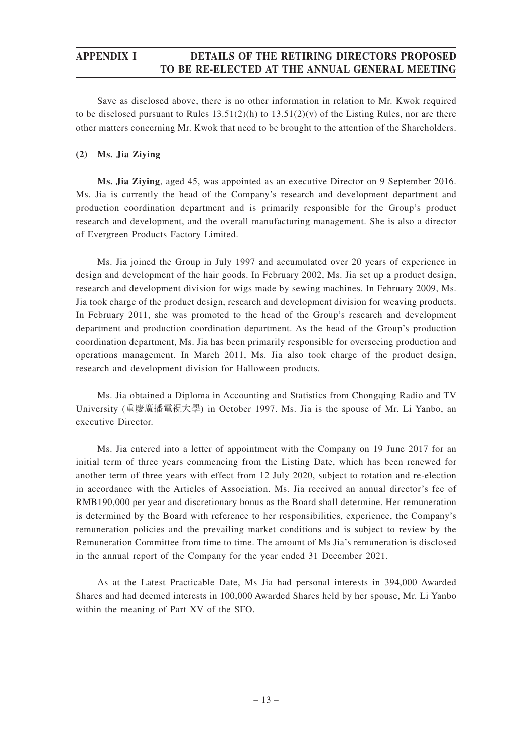Save as disclosed above, there is no other information in relation to Mr. Kwok required to be disclosed pursuant to Rules  $13.51(2)(h)$  to  $13.51(2)(v)$  of the Listing Rules, nor are there other matters concerning Mr. Kwok that need to be brought to the attention of the Shareholders.

## **(2) Ms. Jia Ziying**

**Ms. Jia Ziying**, aged 45, was appointed as an executive Director on 9 September 2016. Ms. Jia is currently the head of the Company's research and development department and production coordination department and is primarily responsible for the Group's product research and development, and the overall manufacturing management. She is also a director of Evergreen Products Factory Limited.

Ms. Jia joined the Group in July 1997 and accumulated over 20 years of experience in design and development of the hair goods. In February 2002, Ms. Jia set up a product design, research and development division for wigs made by sewing machines. In February 2009, Ms. Jia took charge of the product design, research and development division for weaving products. In February 2011, she was promoted to the head of the Group's research and development department and production coordination department. As the head of the Group's production coordination department, Ms. Jia has been primarily responsible for overseeing production and operations management. In March 2011, Ms. Jia also took charge of the product design, research and development division for Halloween products.

Ms. Jia obtained a Diploma in Accounting and Statistics from Chongqing Radio and TV University (重慶廣播電視大學) in October 1997. Ms. Jia is the spouse of Mr. Li Yanbo, an executive Director.

Ms. Jia entered into a letter of appointment with the Company on 19 June 2017 for an initial term of three years commencing from the Listing Date, which has been renewed for another term of three years with effect from 12 July 2020, subject to rotation and re-election in accordance with the Articles of Association. Ms. Jia received an annual director's fee of RMB190,000 per year and discretionary bonus as the Board shall determine. Her remuneration is determined by the Board with reference to her responsibilities, experience, the Company's remuneration policies and the prevailing market conditions and is subject to review by the Remuneration Committee from time to time. The amount of Ms Jia's remuneration is disclosed in the annual report of the Company for the year ended 31 December 2021.

As at the Latest Practicable Date, Ms Jia had personal interests in 394,000 Awarded Shares and had deemed interests in 100,000 Awarded Shares held by her spouse, Mr. Li Yanbo within the meaning of Part XV of the SFO.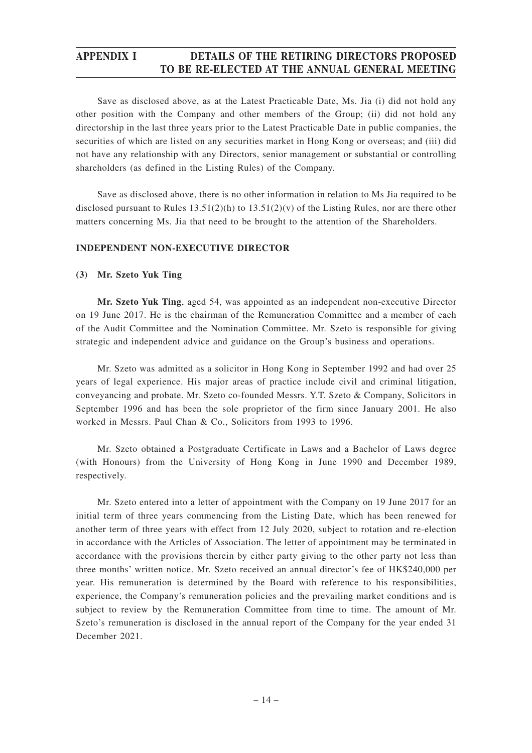Save as disclosed above, as at the Latest Practicable Date, Ms. Jia (i) did not hold any other position with the Company and other members of the Group; (ii) did not hold any directorship in the last three years prior to the Latest Practicable Date in public companies, the securities of which are listed on any securities market in Hong Kong or overseas; and (iii) did not have any relationship with any Directors, senior management or substantial or controlling shareholders (as defined in the Listing Rules) of the Company.

Save as disclosed above, there is no other information in relation to Ms Jia required to be disclosed pursuant to Rules  $13.51(2)(h)$  to  $13.51(2)(v)$  of the Listing Rules, nor are there other matters concerning Ms. Jia that need to be brought to the attention of the Shareholders.

## **INDEPENDENT NON-EXECUTIVE DIRECTOR**

#### **(3) Mr. Szeto Yuk Ting**

**Mr. Szeto Yuk Ting**, aged 54, was appointed as an independent non-executive Director on 19 June 2017. He is the chairman of the Remuneration Committee and a member of each of the Audit Committee and the Nomination Committee. Mr. Szeto is responsible for giving strategic and independent advice and guidance on the Group's business and operations.

Mr. Szeto was admitted as a solicitor in Hong Kong in September 1992 and had over 25 years of legal experience. His major areas of practice include civil and criminal litigation, conveyancing and probate. Mr. Szeto co-founded Messrs. Y.T. Szeto & Company, Solicitors in September 1996 and has been the sole proprietor of the firm since January 2001. He also worked in Messrs. Paul Chan & Co., Solicitors from 1993 to 1996.

Mr. Szeto obtained a Postgraduate Certificate in Laws and a Bachelor of Laws degree (with Honours) from the University of Hong Kong in June 1990 and December 1989, respectively.

Mr. Szeto entered into a letter of appointment with the Company on 19 June 2017 for an initial term of three years commencing from the Listing Date, which has been renewed for another term of three years with effect from 12 July 2020, subject to rotation and re-election in accordance with the Articles of Association. The letter of appointment may be terminated in accordance with the provisions therein by either party giving to the other party not less than three months' written notice. Mr. Szeto received an annual director's fee of HK\$240,000 per year. His remuneration is determined by the Board with reference to his responsibilities, experience, the Company's remuneration policies and the prevailing market conditions and is subject to review by the Remuneration Committee from time to time. The amount of Mr. Szeto's remuneration is disclosed in the annual report of the Company for the year ended 31 December 2021.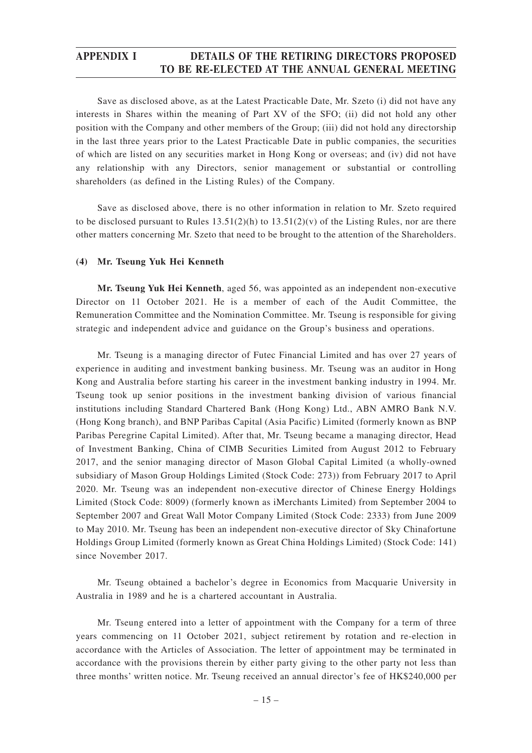Save as disclosed above, as at the Latest Practicable Date, Mr. Szeto (i) did not have any interests in Shares within the meaning of Part XV of the SFO; (ii) did not hold any other position with the Company and other members of the Group; (iii) did not hold any directorship in the last three years prior to the Latest Practicable Date in public companies, the securities of which are listed on any securities market in Hong Kong or overseas; and (iv) did not have any relationship with any Directors, senior management or substantial or controlling shareholders (as defined in the Listing Rules) of the Company.

Save as disclosed above, there is no other information in relation to Mr. Szeto required to be disclosed pursuant to Rules  $13.51(2)(h)$  to  $13.51(2)(v)$  of the Listing Rules, nor are there other matters concerning Mr. Szeto that need to be brought to the attention of the Shareholders.

#### **(4) Mr. Tseung Yuk Hei Kenneth**

**Mr. Tseung Yuk Hei Kenneth**, aged 56, was appointed as an independent non-executive Director on 11 October 2021. He is a member of each of the Audit Committee, the Remuneration Committee and the Nomination Committee. Mr. Tseung is responsible for giving strategic and independent advice and guidance on the Group's business and operations.

Mr. Tseung is a managing director of Futec Financial Limited and has over 27 years of experience in auditing and investment banking business. Mr. Tseung was an auditor in Hong Kong and Australia before starting his career in the investment banking industry in 1994. Mr. Tseung took up senior positions in the investment banking division of various financial institutions including Standard Chartered Bank (Hong Kong) Ltd., ABN AMRO Bank N.V. (Hong Kong branch), and BNP Paribas Capital (Asia Pacific) Limited (formerly known as BNP Paribas Peregrine Capital Limited). After that, Mr. Tseung became a managing director, Head of Investment Banking, China of CIMB Securities Limited from August 2012 to February 2017, and the senior managing director of Mason Global Capital Limited (a wholly-owned subsidiary of Mason Group Holdings Limited (Stock Code: 273)) from February 2017 to April 2020. Mr. Tseung was an independent non-executive director of Chinese Energy Holdings Limited (Stock Code: 8009) (formerly known as iMerchants Limited) from September 2004 to September 2007 and Great Wall Motor Company Limited (Stock Code: 2333) from June 2009 to May 2010. Mr. Tseung has been an independent non-executive director of Sky Chinafortune Holdings Group Limited (formerly known as Great China Holdings Limited) (Stock Code: 141) since November 2017.

Mr. Tseung obtained a bachelor's degree in Economics from Macquarie University in Australia in 1989 and he is a chartered accountant in Australia.

Mr. Tseung entered into a letter of appointment with the Company for a term of three years commencing on 11 October 2021, subject retirement by rotation and re-election in accordance with the Articles of Association. The letter of appointment may be terminated in accordance with the provisions therein by either party giving to the other party not less than three months' written notice. Mr. Tseung received an annual director's fee of HK\$240,000 per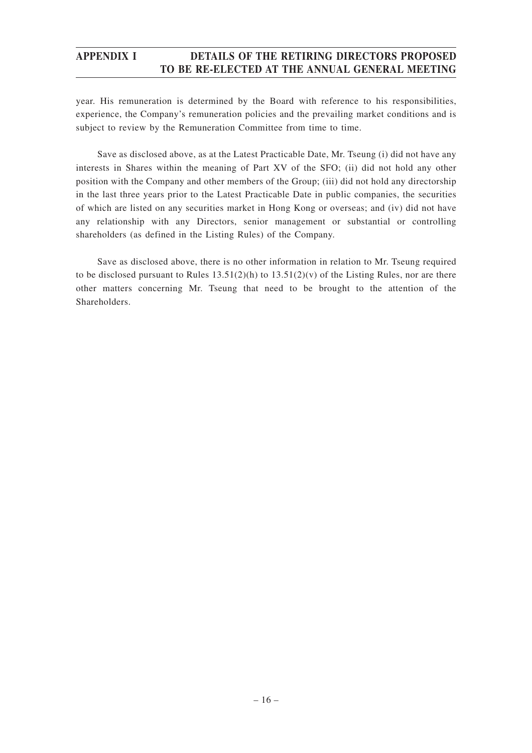year. His remuneration is determined by the Board with reference to his responsibilities, experience, the Company's remuneration policies and the prevailing market conditions and is subject to review by the Remuneration Committee from time to time.

Save as disclosed above, as at the Latest Practicable Date, Mr. Tseung (i) did not have any interests in Shares within the meaning of Part XV of the SFO; (ii) did not hold any other position with the Company and other members of the Group; (iii) did not hold any directorship in the last three years prior to the Latest Practicable Date in public companies, the securities of which are listed on any securities market in Hong Kong or overseas; and (iv) did not have any relationship with any Directors, senior management or substantial or controlling shareholders (as defined in the Listing Rules) of the Company.

Save as disclosed above, there is no other information in relation to Mr. Tseung required to be disclosed pursuant to Rules  $13.51(2)(h)$  to  $13.51(2)(v)$  of the Listing Rules, nor are there other matters concerning Mr. Tseung that need to be brought to the attention of the **Shareholders**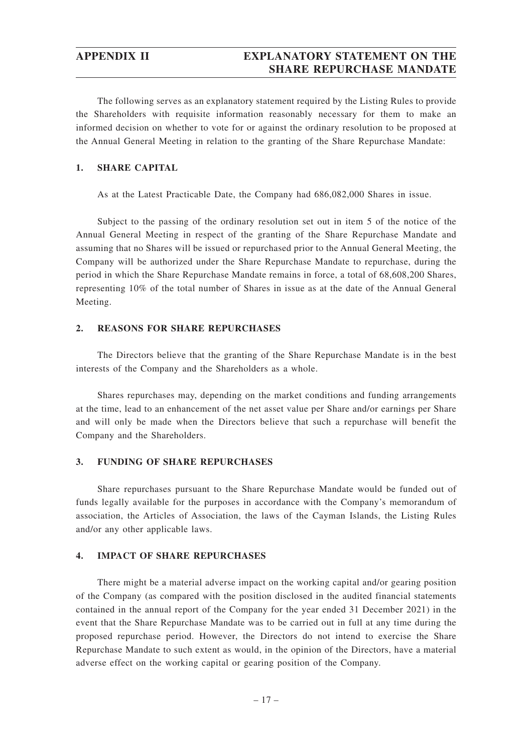The following serves as an explanatory statement required by the Listing Rules to provide the Shareholders with requisite information reasonably necessary for them to make an informed decision on whether to vote for or against the ordinary resolution to be proposed at the Annual General Meeting in relation to the granting of the Share Repurchase Mandate:

## **1. SHARE CAPITAL**

As at the Latest Practicable Date, the Company had 686,082,000 Shares in issue.

Subject to the passing of the ordinary resolution set out in item 5 of the notice of the Annual General Meeting in respect of the granting of the Share Repurchase Mandate and assuming that no Shares will be issued or repurchased prior to the Annual General Meeting, the Company will be authorized under the Share Repurchase Mandate to repurchase, during the period in which the Share Repurchase Mandate remains in force, a total of 68,608,200 Shares, representing 10% of the total number of Shares in issue as at the date of the Annual General Meeting.

## **2. REASONS FOR SHARE REPURCHASES**

The Directors believe that the granting of the Share Repurchase Mandate is in the best interests of the Company and the Shareholders as a whole.

Shares repurchases may, depending on the market conditions and funding arrangements at the time, lead to an enhancement of the net asset value per Share and/or earnings per Share and will only be made when the Directors believe that such a repurchase will benefit the Company and the Shareholders.

#### **3. FUNDING OF SHARE REPURCHASES**

Share repurchases pursuant to the Share Repurchase Mandate would be funded out of funds legally available for the purposes in accordance with the Company's memorandum of association, the Articles of Association, the laws of the Cayman Islands, the Listing Rules and/or any other applicable laws.

#### **4. IMPACT OF SHARE REPURCHASES**

There might be a material adverse impact on the working capital and/or gearing position of the Company (as compared with the position disclosed in the audited financial statements contained in the annual report of the Company for the year ended 31 December 2021) in the event that the Share Repurchase Mandate was to be carried out in full at any time during the proposed repurchase period. However, the Directors do not intend to exercise the Share Repurchase Mandate to such extent as would, in the opinion of the Directors, have a material adverse effect on the working capital or gearing position of the Company.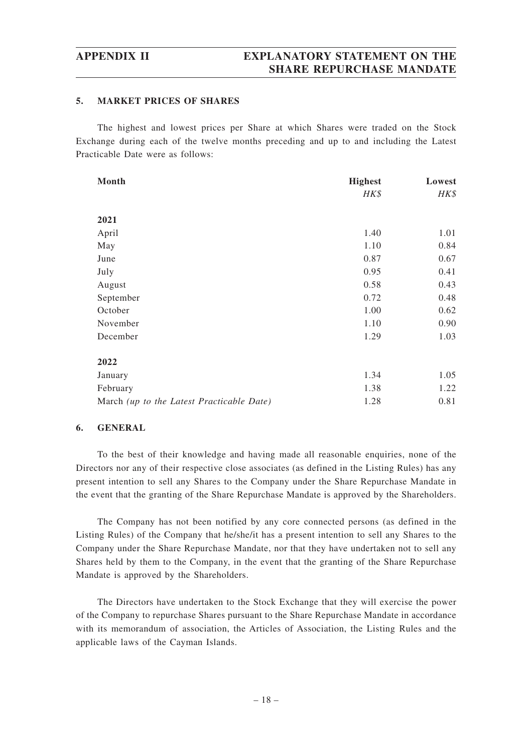#### **5. MARKET PRICES OF SHARES**

The highest and lowest prices per Share at which Shares were traded on the Stock Exchange during each of the twelve months preceding and up to and including the Latest Practicable Date were as follows:

| Month                                     | <b>Highest</b> | Lowest |
|-------------------------------------------|----------------|--------|
|                                           | HK\$           | HK\$   |
| 2021                                      |                |        |
| April                                     | 1.40           | 1.01   |
| May                                       | 1.10           | 0.84   |
| June                                      | 0.87           | 0.67   |
| July                                      | 0.95           | 0.41   |
| August                                    | 0.58           | 0.43   |
| September                                 | 0.72           | 0.48   |
| October                                   | 1.00           | 0.62   |
| November                                  | 1.10           | 0.90   |
| December                                  | 1.29           | 1.03   |
| 2022                                      |                |        |
| January                                   | 1.34           | 1.05   |
| February                                  | 1.38           | 1.22   |
| March (up to the Latest Practicable Date) | 1.28           | 0.81   |

#### **6. GENERAL**

To the best of their knowledge and having made all reasonable enquiries, none of the Directors nor any of their respective close associates (as defined in the Listing Rules) has any present intention to sell any Shares to the Company under the Share Repurchase Mandate in the event that the granting of the Share Repurchase Mandate is approved by the Shareholders.

The Company has not been notified by any core connected persons (as defined in the Listing Rules) of the Company that he/she/it has a present intention to sell any Shares to the Company under the Share Repurchase Mandate, nor that they have undertaken not to sell any Shares held by them to the Company, in the event that the granting of the Share Repurchase Mandate is approved by the Shareholders.

The Directors have undertaken to the Stock Exchange that they will exercise the power of the Company to repurchase Shares pursuant to the Share Repurchase Mandate in accordance with its memorandum of association, the Articles of Association, the Listing Rules and the applicable laws of the Cayman Islands.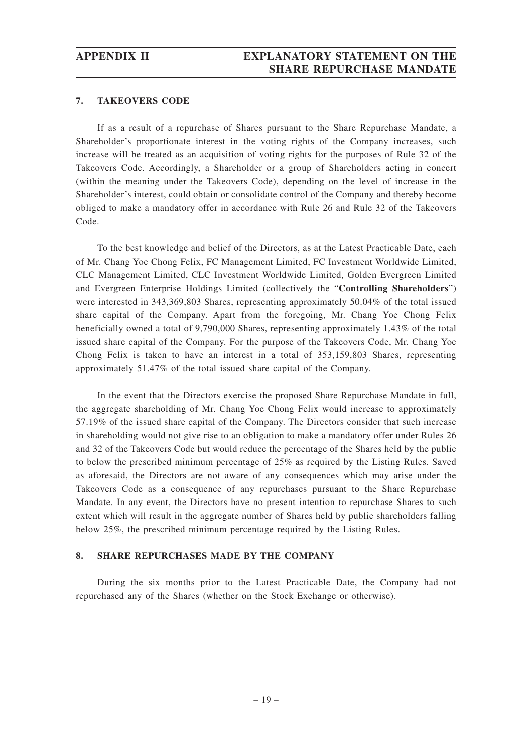#### **7. TAKEOVERS CODE**

If as a result of a repurchase of Shares pursuant to the Share Repurchase Mandate, a Shareholder's proportionate interest in the voting rights of the Company increases, such increase will be treated as an acquisition of voting rights for the purposes of Rule 32 of the Takeovers Code. Accordingly, a Shareholder or a group of Shareholders acting in concert (within the meaning under the Takeovers Code), depending on the level of increase in the Shareholder's interest, could obtain or consolidate control of the Company and thereby become obliged to make a mandatory offer in accordance with Rule 26 and Rule 32 of the Takeovers Code.

To the best knowledge and belief of the Directors, as at the Latest Practicable Date, each of Mr. Chang Yoe Chong Felix, FC Management Limited, FC Investment Worldwide Limited, CLC Management Limited, CLC Investment Worldwide Limited, Golden Evergreen Limited and Evergreen Enterprise Holdings Limited (collectively the "**Controlling Shareholders**") were interested in 343,369,803 Shares, representing approximately 50.04% of the total issued share capital of the Company. Apart from the foregoing, Mr. Chang Yoe Chong Felix beneficially owned a total of 9,790,000 Shares, representing approximately 1.43% of the total issued share capital of the Company. For the purpose of the Takeovers Code, Mr. Chang Yoe Chong Felix is taken to have an interest in a total of 353,159,803 Shares, representing approximately 51.47% of the total issued share capital of the Company.

In the event that the Directors exercise the proposed Share Repurchase Mandate in full, the aggregate shareholding of Mr. Chang Yoe Chong Felix would increase to approximately 57.19% of the issued share capital of the Company. The Directors consider that such increase in shareholding would not give rise to an obligation to make a mandatory offer under Rules 26 and 32 of the Takeovers Code but would reduce the percentage of the Shares held by the public to below the prescribed minimum percentage of 25% as required by the Listing Rules. Saved as aforesaid, the Directors are not aware of any consequences which may arise under the Takeovers Code as a consequence of any repurchases pursuant to the Share Repurchase Mandate. In any event, the Directors have no present intention to repurchase Shares to such extent which will result in the aggregate number of Shares held by public shareholders falling below 25%, the prescribed minimum percentage required by the Listing Rules.

#### **8. SHARE REPURCHASES MADE BY THE COMPANY**

During the six months prior to the Latest Practicable Date, the Company had not repurchased any of the Shares (whether on the Stock Exchange or otherwise).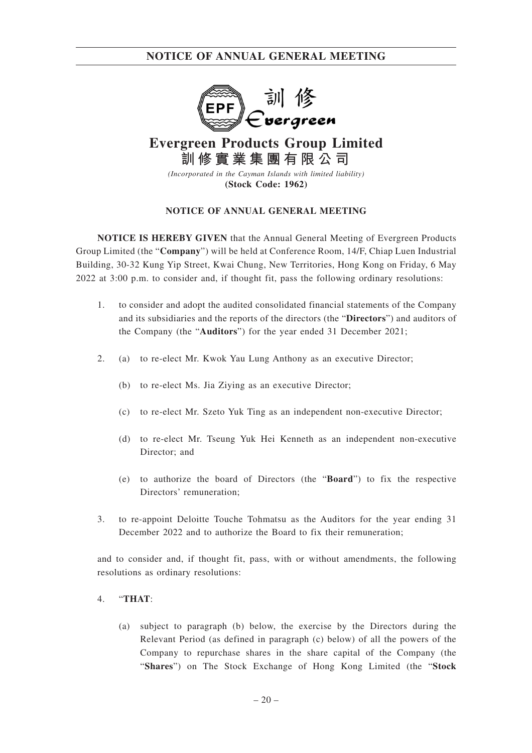

# **Evergreen Products Group Limited 訓修實業集團有限公司**

*(Incorporated in the Cayman Islands with limited liability)* **(Stock Code: 1962)**

## **NOTICE OF ANNUAL GENERAL MEETING**

**NOTICE IS HEREBY GIVEN** that the Annual General Meeting of Evergreen Products Group Limited (the "**Company**") will be held at Conference Room, 14/F, Chiap Luen Industrial Building, 30-32 Kung Yip Street, Kwai Chung, New Territories, Hong Kong on Friday, 6 May 2022 at 3:00 p.m. to consider and, if thought fit, pass the following ordinary resolutions:

- 1. to consider and adopt the audited consolidated financial statements of the Company and its subsidiaries and the reports of the directors (the "**Directors**") and auditors of the Company (the "**Auditors**") for the year ended 31 December 2021;
- 2. (a) to re-elect Mr. Kwok Yau Lung Anthony as an executive Director;
	- (b) to re-elect Ms. Jia Ziying as an executive Director;
	- (c) to re-elect Mr. Szeto Yuk Ting as an independent non-executive Director;
	- (d) to re-elect Mr. Tseung Yuk Hei Kenneth as an independent non-executive Director; and
	- (e) to authorize the board of Directors (the "**Board**") to fix the respective Directors' remuneration;
- 3. to re-appoint Deloitte Touche Tohmatsu as the Auditors for the year ending 31 December 2022 and to authorize the Board to fix their remuneration;

and to consider and, if thought fit, pass, with or without amendments, the following resolutions as ordinary resolutions:

#### 4. "**THAT**:

(a) subject to paragraph (b) below, the exercise by the Directors during the Relevant Period (as defined in paragraph (c) below) of all the powers of the Company to repurchase shares in the share capital of the Company (the "**Shares**") on The Stock Exchange of Hong Kong Limited (the "**Stock**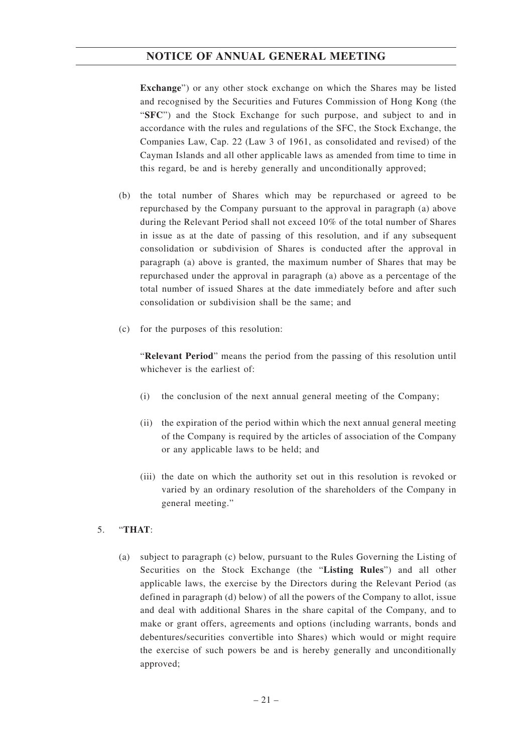**Exchange**") or any other stock exchange on which the Shares may be listed and recognised by the Securities and Futures Commission of Hong Kong (the "**SFC**") and the Stock Exchange for such purpose, and subject to and in accordance with the rules and regulations of the SFC, the Stock Exchange, the Companies Law, Cap. 22 (Law 3 of 1961, as consolidated and revised) of the Cayman Islands and all other applicable laws as amended from time to time in this regard, be and is hereby generally and unconditionally approved;

- (b) the total number of Shares which may be repurchased or agreed to be repurchased by the Company pursuant to the approval in paragraph (a) above during the Relevant Period shall not exceed 10% of the total number of Shares in issue as at the date of passing of this resolution, and if any subsequent consolidation or subdivision of Shares is conducted after the approval in paragraph (a) above is granted, the maximum number of Shares that may be repurchased under the approval in paragraph (a) above as a percentage of the total number of issued Shares at the date immediately before and after such consolidation or subdivision shall be the same; and
- (c) for the purposes of this resolution:

"**Relevant Period**" means the period from the passing of this resolution until whichever is the earliest of:

- (i) the conclusion of the next annual general meeting of the Company;
- (ii) the expiration of the period within which the next annual general meeting of the Company is required by the articles of association of the Company or any applicable laws to be held; and
- (iii) the date on which the authority set out in this resolution is revoked or varied by an ordinary resolution of the shareholders of the Company in general meeting."

## 5. "**THAT**:

(a) subject to paragraph (c) below, pursuant to the Rules Governing the Listing of Securities on the Stock Exchange (the "**Listing Rules**") and all other applicable laws, the exercise by the Directors during the Relevant Period (as defined in paragraph (d) below) of all the powers of the Company to allot, issue and deal with additional Shares in the share capital of the Company, and to make or grant offers, agreements and options (including warrants, bonds and debentures/securities convertible into Shares) which would or might require the exercise of such powers be and is hereby generally and unconditionally approved;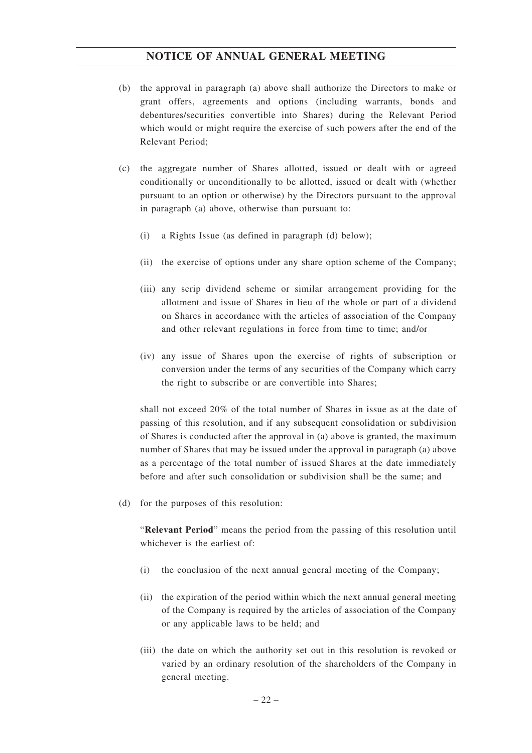- (b) the approval in paragraph (a) above shall authorize the Directors to make or grant offers, agreements and options (including warrants, bonds and debentures/securities convertible into Shares) during the Relevant Period which would or might require the exercise of such powers after the end of the Relevant Period;
- (c) the aggregate number of Shares allotted, issued or dealt with or agreed conditionally or unconditionally to be allotted, issued or dealt with (whether pursuant to an option or otherwise) by the Directors pursuant to the approval in paragraph (a) above, otherwise than pursuant to:
	- (i) a Rights Issue (as defined in paragraph (d) below);
	- (ii) the exercise of options under any share option scheme of the Company;
	- (iii) any scrip dividend scheme or similar arrangement providing for the allotment and issue of Shares in lieu of the whole or part of a dividend on Shares in accordance with the articles of association of the Company and other relevant regulations in force from time to time; and/or
	- (iv) any issue of Shares upon the exercise of rights of subscription or conversion under the terms of any securities of the Company which carry the right to subscribe or are convertible into Shares;

shall not exceed 20% of the total number of Shares in issue as at the date of passing of this resolution, and if any subsequent consolidation or subdivision of Shares is conducted after the approval in (a) above is granted, the maximum number of Shares that may be issued under the approval in paragraph (a) above as a percentage of the total number of issued Shares at the date immediately before and after such consolidation or subdivision shall be the same; and

(d) for the purposes of this resolution:

"**Relevant Period**" means the period from the passing of this resolution until whichever is the earliest of:

- (i) the conclusion of the next annual general meeting of the Company;
- (ii) the expiration of the period within which the next annual general meeting of the Company is required by the articles of association of the Company or any applicable laws to be held; and
- (iii) the date on which the authority set out in this resolution is revoked or varied by an ordinary resolution of the shareholders of the Company in general meeting.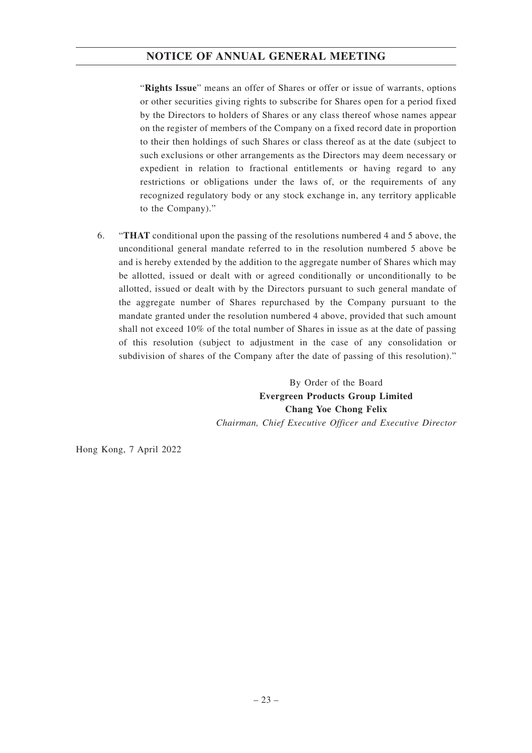"**Rights Issue**" means an offer of Shares or offer or issue of warrants, options or other securities giving rights to subscribe for Shares open for a period fixed by the Directors to holders of Shares or any class thereof whose names appear on the register of members of the Company on a fixed record date in proportion to their then holdings of such Shares or class thereof as at the date (subject to such exclusions or other arrangements as the Directors may deem necessary or expedient in relation to fractional entitlements or having regard to any restrictions or obligations under the laws of, or the requirements of any recognized regulatory body or any stock exchange in, any territory applicable to the Company)."

6. "**THAT** conditional upon the passing of the resolutions numbered 4 and 5 above, the unconditional general mandate referred to in the resolution numbered 5 above be and is hereby extended by the addition to the aggregate number of Shares which may be allotted, issued or dealt with or agreed conditionally or unconditionally to be allotted, issued or dealt with by the Directors pursuant to such general mandate of the aggregate number of Shares repurchased by the Company pursuant to the mandate granted under the resolution numbered 4 above, provided that such amount shall not exceed 10% of the total number of Shares in issue as at the date of passing of this resolution (subject to adjustment in the case of any consolidation or subdivision of shares of the Company after the date of passing of this resolution)."

> By Order of the Board **Evergreen Products Group Limited Chang Yoe Chong Felix** *Chairman, Chief Executive Officer and Executive Director*

Hong Kong, 7 April 2022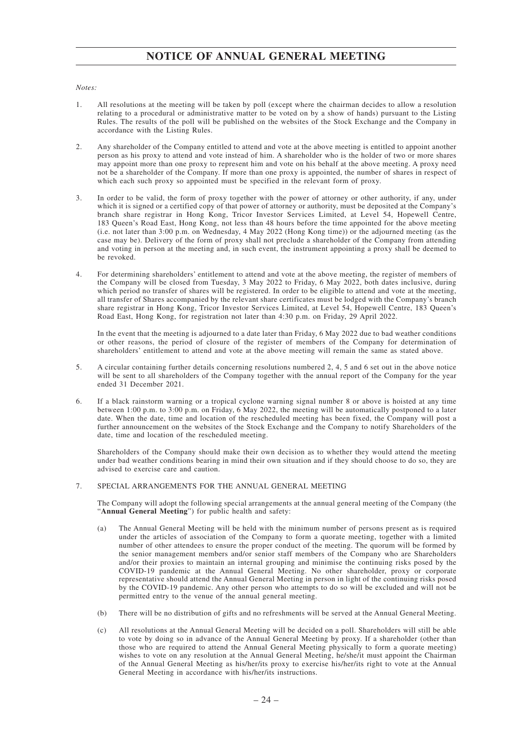#### *Notes:*

- 1. All resolutions at the meeting will be taken by poll (except where the chairman decides to allow a resolution relating to a procedural or administrative matter to be voted on by a show of hands) pursuant to the Listing Rules. The results of the poll will be published on the websites of the Stock Exchange and the Company in accordance with the Listing Rules.
- 2. Any shareholder of the Company entitled to attend and vote at the above meeting is entitled to appoint another person as his proxy to attend and vote instead of him. A shareholder who is the holder of two or more shares may appoint more than one proxy to represent him and vote on his behalf at the above meeting. A proxy need not be a shareholder of the Company. If more than one proxy is appointed, the number of shares in respect of which each such proxy so appointed must be specified in the relevant form of proxy.
- 3. In order to be valid, the form of proxy together with the power of attorney or other authority, if any, under which it is signed or a certified copy of that power of attorney or authority, must be deposited at the Company's branch share registrar in Hong Kong, Tricor Investor Services Limited, at Level 54, Hopewell Centre, 183 Queen's Road East, Hong Kong, not less than 48 hours before the time appointed for the above meeting (i.e. not later than 3:00 p.m. on Wednesday, 4 May 2022 (Hong Kong time)) or the adjourned meeting (as the case may be). Delivery of the form of proxy shall not preclude a shareholder of the Company from attending and voting in person at the meeting and, in such event, the instrument appointing a proxy shall be deemed to be revoked.
- 4. For determining shareholders' entitlement to attend and vote at the above meeting, the register of members of the Company will be closed from Tuesday, 3 May 2022 to Friday, 6 May 2022, both dates inclusive, during which period no transfer of shares will be registered. In order to be eligible to attend and vote at the meeting, all transfer of Shares accompanied by the relevant share certificates must be lodged with the Company's branch share registrar in Hong Kong, Tricor Investor Services Limited, at Level 54, Hopewell Centre, 183 Queen's Road East, Hong Kong, for registration not later than 4:30 p.m. on Friday, 29 April 2022.

In the event that the meeting is adjourned to a date later than Friday, 6 May 2022 due to bad weather conditions or other reasons, the period of closure of the register of members of the Company for determination of shareholders' entitlement to attend and vote at the above meeting will remain the same as stated above.

- 5. A circular containing further details concerning resolutions numbered 2, 4, 5 and 6 set out in the above notice will be sent to all shareholders of the Company together with the annual report of the Company for the year ended 31 December 2021.
- 6. If a black rainstorm warning or a tropical cyclone warning signal number 8 or above is hoisted at any time between 1:00 p.m. to 3:00 p.m. on Friday, 6 May 2022, the meeting will be automatically postponed to a later date. When the date, time and location of the rescheduled meeting has been fixed, the Company will post a further announcement on the websites of the Stock Exchange and the Company to notify Shareholders of the date, time and location of the rescheduled meeting.

Shareholders of the Company should make their own decision as to whether they would attend the meeting under bad weather conditions bearing in mind their own situation and if they should choose to do so, they are advised to exercise care and caution.

#### 7. SPECIAL ARRANGEMENTS FOR THE ANNUAL GENERAL MEETING

The Company will adopt the following special arrangements at the annual general meeting of the Company (the "**Annual General Meeting**") for public health and safety:

- (a) The Annual General Meeting will be held with the minimum number of persons present as is required under the articles of association of the Company to form a quorate meeting, together with a limited number of other attendees to ensure the proper conduct of the meeting. The quorum will be formed by the senior management members and/or senior staff members of the Company who are Shareholders and/or their proxies to maintain an internal grouping and minimise the continuing risks posed by the COVID-19 pandemic at the Annual General Meeting. No other shareholder, proxy or corporate representative should attend the Annual General Meeting in person in light of the continuing risks posed by the COVID-19 pandemic. Any other person who attempts to do so will be excluded and will not be permitted entry to the venue of the annual general meeting.
- (b) There will be no distribution of gifts and no refreshments will be served at the Annual General Meeting.
- (c) All resolutions at the Annual General Meeting will be decided on a poll. Shareholders will still be able to vote by doing so in advance of the Annual General Meeting by proxy. If a shareholder (other than those who are required to attend the Annual General Meeting physically to form a quorate meeting) wishes to vote on any resolution at the Annual General Meeting, he/she/it must appoint the Chairman of the Annual General Meeting as his/her/its proxy to exercise his/her/its right to vote at the Annual General Meeting in accordance with his/her/its instructions.